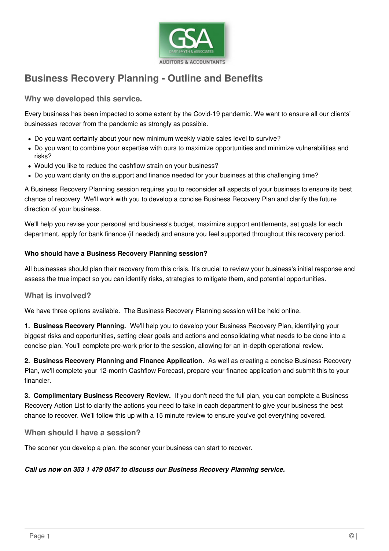

## **Business Recovery Planning - Outline and Benefits**

**Why we developed this service.**

Every business has been impacted to some extent by the Covid-19 pandemic. We want to ensure all our clients' businesses recover from the pandemic as strongly as possible.

- Do you want certainty about your new minimum weekly viable sales level to survive?
- Do you want to combine your expertise with ours to maximize opportunities and minimize vulnerabilities and risks?
- Would you like to reduce the cashflow strain on your business?
- Do you want clarity on the support and finance needed for your business at this challenging time?

A Business Recovery Planning session requires you to reconsider all aspects of your business to ensure its best chance of recovery. We'll work with you to develop a concise Business Recovery Plan and clarify the future direction of your business.

We'll help you revise your personal and business's budget, maximize support entitlements, set goals for each department, apply for bank finance (if needed) and ensure you feel supported throughout this recovery period.

### **Who should have a Business Recovery Planning session?**

All businesses should plan their recovery from this crisis. It's crucial to review your business's initial response and assess the true impact so you can identify risks, strategies to mitigate them, and potential opportunities.

### **What is involved?**

We have three options available. The Business Recovery Planning session will be held online.

**1. Business Recovery Planning.** We'll help you to develop your Business Recovery Plan, identifying your biggest risks and opportunities, setting clear goals and actions and consolidating what needs to be done into a concise plan. You'll complete pre-work prior to the session, allowing for an in-depth operational review.

**2. Business Recovery Planning and Finance Application.** As well as creating a concise Business Recovery Plan, we'll complete your 12-month Cashflow Forecast, prepare your finance application and submit this to your financier.

**3. Complimentary Business Recovery Review.** If you don't need the full plan, you can complete a Business Recovery Action List to clarify the actions you need to take in each department to give your business the best chance to recover. We'll follow this up with a 15 minute review to ensure you've got everything covered.

### **When should I have a session?**

The sooner you develop a plan, the sooner your business can start to recover.

#### **Call us now on 353 1 479 0547 to discuss our Business Recovery Planning service.**